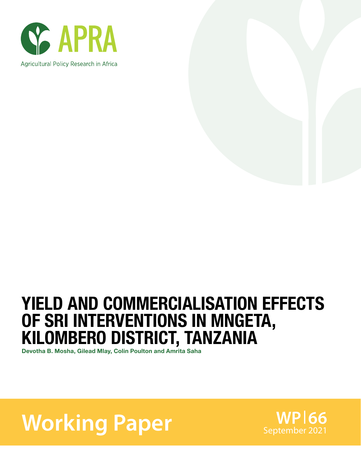



## YIELD AND COMMERCIALISATION EFFECTS OF SRI INTERVENTIONS IN MNGETA, KILOMBERO DISTRICT, TANZANIA

Devotha B. Mosha, Gilead Mlay, Colin Poulton and Amrita Saha

# **Working Paper** September 2021

**WP 66**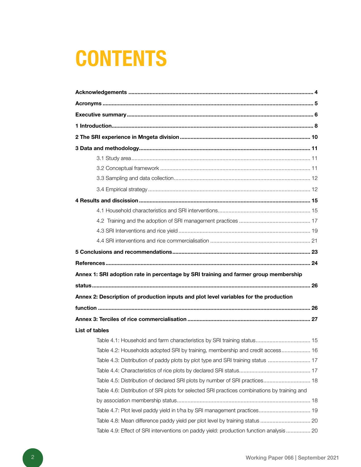# **CONTENTS**

| Annex 1: SRI adoption rate in percentage by SRI training and farmer group membership         |  |
|----------------------------------------------------------------------------------------------|--|
|                                                                                              |  |
| Annex 2: Description of production inputs and plot level variables for the production        |  |
|                                                                                              |  |
|                                                                                              |  |
|                                                                                              |  |
| <b>List of tables</b>                                                                        |  |
|                                                                                              |  |
| Table 4.2: Households adopted SRI by training, membership and credit access 16               |  |
| Table 4.3: Distribution of paddy plots by plot type and SRI training status  17              |  |
|                                                                                              |  |
| Table 4.5: Distribution of declared SRI plots by number of SRI practices 18                  |  |
| Table 4.6: Distribution of SRI plots for selected SRI practices combinations by training and |  |
|                                                                                              |  |
| Table 4.7: Plot level paddy yield in t/ha by SRI management practices 19                     |  |
|                                                                                              |  |
| Table 4.9: Effect of SRI interventions on paddy yield: production function analysis  20      |  |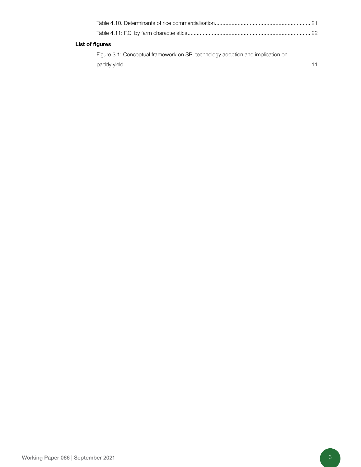| List of figures |                                                                                |  |
|-----------------|--------------------------------------------------------------------------------|--|
|                 | Figure 3.1: Conceptual framework on SRI technology adoption and implication on |  |
|                 |                                                                                |  |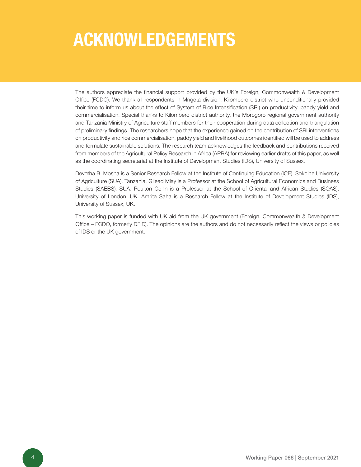## ACKNOWLEDGEMENTS

The authors appreciate the financial support provided by the UK's Foreign, Commonwealth & Development Office (FCDO). We thank all respondents in Mngeta division, Kilombero district who unconditionally provided their time to inform us about the effect of System of Rice Intensification (SRI) on productivity, paddy yield and commercialisation. Special thanks to Kilombero district authority, the Morogoro regional government authority and Tanzania Ministry of Agriculture staff members for their cooperation during data collection and triangulation of preliminary findings. The researchers hope that the experience gained on the contribution of SRI interventions on productivity and rice commercialisation, paddy yield and livelihood outcomes identified will be used to address and formulate sustainable solutions. The research team acknowledges the feedback and contributions received from members of the Agricultural Policy Research in Africa (APRA) for reviewing earlier drafts of this paper, as well as the coordinating secretariat at the Institute of Development Studies (IDS), University of Sussex.

Devotha B. Mosha is a Senior Research Fellow at the Institute of Continuing Education (ICE), Sokoine University of Agriculture (SUA), Tanzania. Gilead Mlay is a Professor at the School of Agricultural Economics and Business Studies (SAEBS), SUA. Poulton Collin is a Professor at the School of Oriental and African Studies (SOAS), University of London, UK. Amrita Saha is a Research Fellow at the Institute of Development Studies (IDS), University of Sussex, UK.

This working paper is funded with UK aid from the UK government (Foreign, Commonwealth & Development Office – FCDO, formerly DFID). The opinions are the authors and do not necessarily reflect the views or policies of IDS or the UK government.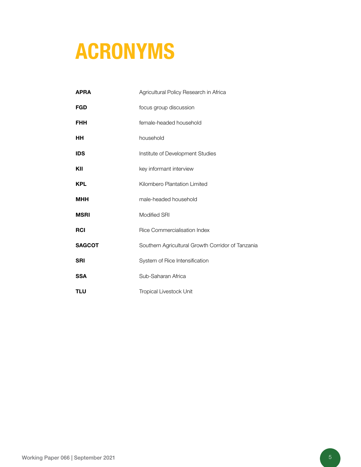# ACRONYMS

| <b>APRA</b>   | Agricultural Policy Research in Africa            |
|---------------|---------------------------------------------------|
| FGD           | focus group discussion                            |
| <b>FHH</b>    | female-headed household                           |
| HН            | household                                         |
| <b>IDS</b>    | Institute of Development Studies                  |
| KII           | key informant interview                           |
| <b>KPL</b>    | Kilombero Plantation Limited                      |
| <b>MHH</b>    | male-headed household                             |
| <b>MSRI</b>   | <b>Modified SRI</b>                               |
| <b>RCI</b>    | <b>Rice Commercialisation Index</b>               |
| <b>SAGCOT</b> | Southern Agricultural Growth Corridor of Tanzania |
| <b>SRI</b>    | System of Rice Intensification                    |
| <b>SSA</b>    | Sub-Saharan Africa                                |
| <b>TLU</b>    | <b>Tropical Livestock Unit</b>                    |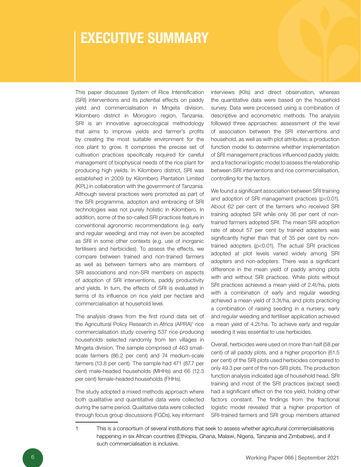### EXECUTIVE SUMMARY

This paper discusses System of Rice Intensification (SRI) interventions and its potential effects on paddy yield and commercialisation in Mngeta division, Kilombero district in Morogoro region, Tanzania. SRI is an innovative agroecological methodology that aims to improve yields and farmer's profits by creating the most suitable environment for the rice plant to grow. It comprises the precise set of cultivation practices specifically required for careful management of biophysical needs of the rice plant for producing high yields. In Kilombero district, SRI was established in 2009 by Kilombero Plantation Limited (KPL) in collaboration with the government of Tanzania. Although several practices were promoted as part of the SRI programme, adoption and embracing of SRI technologies was not purely holistic in Kilombero. In addition, some of the so-called SRI practices feature in conventional agronomic recommendations (e.g. early and regular weeding) and may not even be accepted as SRI in some other contexts (e.g. use of inorganic fertilisers and herbicides). To assess the effects, we compare between trained and non-trained farmers as well as between farmers who are members of SRI associations and non-SRI members on aspects of adoption of SRI interventions, paddy productivity and yields. In turn, the effects of SRI is evaluated in terms of its influence on rice yield per hectare and commercialisation at household level.

The analysis draws from the first round data set of the Agricultural Policy Research in Africa (APRA)<sup>1</sup> rice commercialisation study covering 537 rice-producing households selected randomly from ten villages in Mngeta division. The sample comprised of 463 smallscale farmers (86.2 per cent) and 74 medium-scale farmers (13.8 per cent). The sample had 471 (87.7 per cent) male-headed households (MHHs) and 66 (12.3 per cent) female-headed households (FHHs).

The study adopted a mixed methods approach where both qualitative and quantitative data were collected during the same period. Qualitative data were collected through focus group discussions (FGDs), key informant interviews (KIIs) and direct observation, whereas the quantitative data were based on the household survey. Data were processed using a combination of descriptive and econometric methods. The analysis followed three approaches: assessment of the level of association between the SRI interventions and household, as well as with plot attributes; a production function model to determine whether implementation of SRI management practices influenced paddy yields; and a fractional logistic model to assess the relationship between SRI interventions and rice commercialisation, controlling for the factors.

We found a significant association between SRI training and adoption of SRI management practices (p<0.01). About 62 per cent of the farmers who received SRI training adopted SRI while only 36 per cent of nontrained farmers adopted SRI. The mean SRI adoption rate of about 57 per cent by trained adopters was significantly higher than that of 35 per cent by nontrained adopters (p<0.01). The actual SRI practices adopted at plot levels varied widely among SRI adopters and non-adopters. There was a significant difference in the mean yield of paddy among plots with and without SRI practices. While plots without SRI practices achieved a mean yield of 2.4t/ha, plots with a combination of early and regular weeding achieved a mean yield of 3.3t/ha, and plots practicing a combination of raising seeding in a nursery, early and regular weeding and fertiliser application achieved a mean yield of 4.2t/ha. To achieve early and regular weeding it was essential to use herbicides.

Overall, herbicides were used on more than half (58 per cent) of all paddy plots, and a higher proportion (61.5 per cent) of the SRI plots used herbicides compared to only 49.3 per cent of the non-SRI plots. The production function analysis indicated age of household head, SRI training and most of the SRI practices (except seed) had a significant effect on the rice yield, holding other factors constant. The findings from the fractional logistic model revealed that a higher proportion of SRI-trained farmers and SRI group members attained

<sup>1</sup> This is a consortium of several institutions that seek to assess whether agricultural commercialisationis happening in six African countries (Ethiopia, Ghana, Malawi, Nigeria, Tanzania and Zimbabwe), and if such commercialisation is inclusive.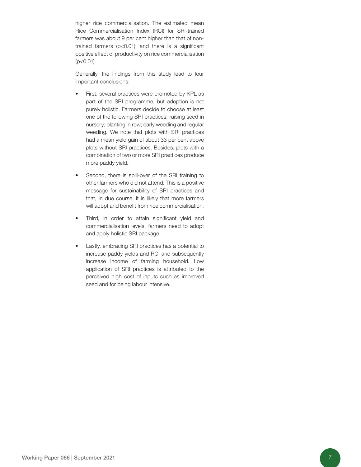higher rice commercialisation. The estimated mean Rice Commercialisation Index (RCI) for SRI-trained farmers was about 9 per cent higher than that of nontrained farmers (p<0.01); and there is a significant positive effect of productivity on rice commercialisation (p<0.01).

Generally, the findings from this study lead to four important conclusions:

- First, several practices were promoted by KPL as part of the SRI programme, but adoption is not purely holistic. Farmers decide to choose at least one of the following SRI practices: raising seed in nursery; planting in row; early weeding and regular weeding. We note that plots with SRI practices had a mean yield gain of about 33 per cent above plots without SRI practices. Besides, plots with a combination of two or more SRI practices produce more paddy yield.
- Second, there is spill-over of the SRI training to other farmers who did not attend. This is a positive message for sustainability of SRI practices and that, in due course, it is likely that more farmers will adopt and benefit from rice commercialisation.
- Third, in order to attain significant yield and commercialisation levels, farmers need to adopt and apply holistic SRI package.
- Lastly, embracing SRI practices has a potential to increase paddy yields and RCI and subsequently increase income of farming household. Low application of SRI practices is attributed to the perceived high cost of inputs such as improved seed and for being labour intensive.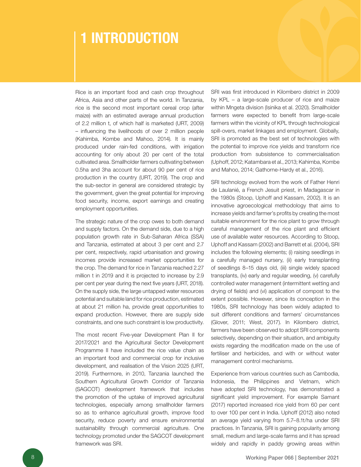### 1 INTRODUCTION

Rice is an important food and cash crop throughout Africa, Asia and other parts of the world. In Tanzania, rice is the second most important cereal crop (after maize) with an estimated average annual production of 2.2 million t, of which half is marketed (URT, 2009) – influencing the livelihoods of over 2 million people (Kahimba, Kombe and Mahoo, 2014). It is mainly produced under rain-fed conditions, with irrigation accounting for only about 20 per cent of the total cultivated area. Smallholder farmers cultivating between 0.5ha and 3ha account for about 90 per cent of rice production in the country (URT, 2019). The crop and the sub-sector in general are considered strategic by the government, given the great potential for improving food security, income, export earnings and creating employment opportunities.

The strategic nature of the crop owes to both demand and supply factors. On the demand side, due to a high population growth rate in Sub-Saharan Africa (SSA) and Tanzania, estimated at about 3 per cent and 2.7 per cent, respectively, rapid urbanisation and growing incomes provide increased market opportunities for the crop. The demand for rice in Tanzania reached 2.27 million t in 2019 and it is projected to increase by 2.9 per cent per year during the next five years (URT, 2018). On the supply side, the large untapped water resources potential and suitable land for rice production, estimated at about 21 million ha, provide great opportunities to expand production. However, there are supply side constraints, and one such constraint is low productivity.

The most recent Five-year Development Plan II for 2017/2021 and the Agricultural Sector Development Programme II have included the rice value chain as an important food and commercial crop for inclusive development, and realisation of the Vision 2025 (URT, 2019). Furthermore, in 2010, Tanzania launched the Southern Agricultural Growth Corridor of Tanzania (SAGCOT) development framework that includes the promotion of the uptake of improved agricultural technologies, especially among smallholder farmers so as to enhance agricultural growth, improve food security, reduce poverty and ensure environmental sustainability through commercial agriculture. One technology promoted under the SAGCOT development framework was SRI.

SRI was first introduced in Kilombero district in 2009 by KPL – a large-scale producer of rice and maize within Mngeta division (Isinika et al. 2020). Smallholder farmers were expected to benefit from large-scale farmers within the vicinity of KPL through technological spill-overs, market linkages and employment. Globally, SRI is promoted as the best set of technologies with the potential to improve rice yields and transform rice production from subsistence to commercialisation (Uphoff, 2012; Katambara et al., 2013; Kahimba, Kombe and Mahoo, 2014; Gathorne-Hardy et al., 2016).

SRI technology evolved from the work of Father Henri de Laulanié, a French Jesuit priest, in Madagascar in the 1980s (Stoop, Uphoff and Kassam, 2002). It is an innovative agroecological methodology that aims to increase yields and farmer's profits by creating the most suitable environment for the rice plant to grow through careful management of the rice plant and efficient use of available water resources. According to Stoop, Uphoff and Kassam (2002) and Barrett et al. (2004), SRI includes the following elements; (i) raising seedlings in a carefully managed nursery, (ii) early transplanting of seedlings 8–15 days old, (iii) single widely spaced transplants, (iv) early and regular weeding, (v) carefully controlled water management (intermittent wetting and drying of fields) and (vi) application of compost to the extent possible. However, since its conception in the 1980s, SRI technology has been widely adapted to suit different conditions and farmers' circumstances (Glover, 2011; West, 2017). In Kilombero district, farmers have been observed to adopt SRI components selectively, depending on their situation, and ambiguity exists regarding the modification made on the use of fertiliser and herbicides, and with or without water management control mechanisms.

Experience from various countries such as Cambodia, Indonesia, the Philippines and Vietnam, which have adopted SRI technology, has demonstrated a significant yield improvement. For example Samant (2017) reported increased rice yield from 60 per cent to over 100 per cent in India. Uphoff (2012) also noted an average yield varying from 5.7–8.1t/ha under SRI practices. In Tanzania, SRI is gaining popularity among small, medium and large-scale farms and it has spread widely and rapidly in paddy growing areas within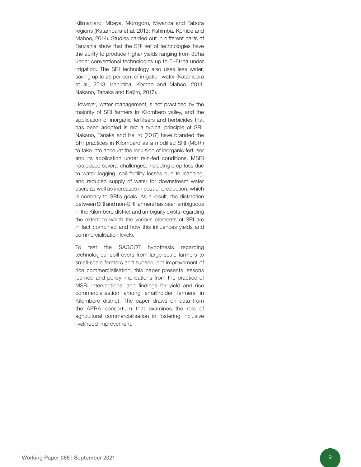Kilimanjaro, Mbeya, Morogoro, Mwanza and Tabora regions (Katambara et al. 2013; Kahimba, Kombe and Mahoo, 2014). Studies carried out in different parts of Tanzania show that the SRI set of technologies have the ability to produce higher yields ranging from 3t/ha under conventional technologies up to 6–8t/ha under irrigation. The SRI technology also uses less water, saving up to 25 per cent of irrigation water (Katambara et al., 2013; Kahimba, Kombe and Mahoo, 2014; Nakano, Tanaka and Keijiro, 2017).

However, water management is not practiced by the majority of SRI farmers in Kilombero valley, and the application of inorganic fertilisers and herbicides that has been adopted is not a typical principle of SRI. Nakano, Tanaka and Keijiro (2017) have branded the SRI practices in Kilombero as a modified SRI (MSRI) to take into account the inclusion of inorganic fertiliser and its application under rain-fed conditions. MSRI has posed several challenges, including crop loss due to water logging, soil fertility losses due to leaching, and reduced supply of water for downstream water users as well as increases in cost of production, which is contrary to SRI's goals. As a result, the distinction between SRI and non-SRI farmers has been ambiguous in the Kilombero district and ambiguity exists regarding the extent to which the various elements of SRI are in fact combined and how this influences yields and commercialisation levels.

To test the SAGCOT hypothesis regarding technological spill-overs from large-scale farmers to small-scale farmers and subsequent improvement of rice commercialisation, this paper presents lessons learned and policy implications from the practice of MSRI interventions, and findings for yield and rice commercialisation among smallholder farmers in Kilombero district. The paper draws on data from the APRA consortium that examines the role of agricultural commercialisation in fostering inclusive livelihood improvement.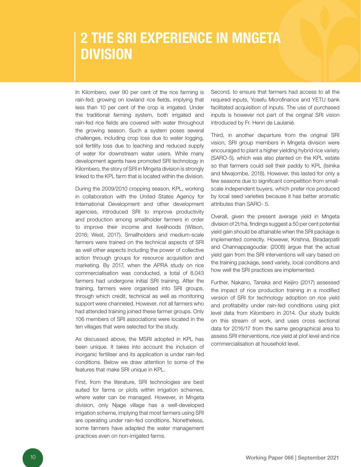### 2 THE SRI EXPERIENCE IN MNGETA **DIVISION**

In Kilombero, over 90 per cent of the rice farming is rain-fed; growing on lowland rice fields, implying that less than 10 per cent of the crop is irrigated. Under the traditional farming system, both irrigated and rain-fed rice fields are covered with water throughout the growing season. Such a system poses several challenges, including crop loss due to water logging, soil fertility loss due to leaching and reduced supply of water for downstream water users. While many development agents have promoted SRI technology in Kilombero, the story of SRI in Mngeta division is strongly linked to the KPL farm that is located within the division.

During the 2009/2010 cropping season, KPL, working in collaboration with the United States Agency for International Development and other development agencies, introduced SRI to improve productivity and production among smallholder farmers in order to improve their income and livelihoods (Wilson, 2016; West, 2017). Smallholders and medium-scale farmers were trained on the technical aspects of SRI as well other aspects including the power of collective action through groups for resource acquisition and marketing. By 2017, when the APRA study on rice commercialisation was conducted, a total of 8,043 farmers had undergone initial SRI training. After the training, farmers were organised into SRI groups, through which credit, technical as well as monitoring support were channeled. However, not all farmers who had attended training joined these farmer groups. Only 106 members of SRI associations were located in the ten villages that were selected for the study.

As discussed above, the MSRI adopted in KPL has been unique. It takes into account the inclusion of inorganic fertiliser and its application is under rain-fed conditions. Below we draw attention to some of the features that make SRI unique in KPL.

First, from the literature, SRI technologies are best suited for farms or plots within irrigation schemes, where water can be managed. However, in Mngeta division, only Njage village has a well-developed irrigation scheme, implying that most farmers using SRI are operating under rain-fed conditions. Nonetheless, some farmers have adapted the water management practices even on non-irrigated farms.

Second, to ensure that farmers had access to all the required inputs, Yosefu Microfinance and YETU bank facilitated acquisition of inputs. The use of purchased inputs is however not part of the original SRI vision introduced by Fr. Henri de Laulanié.

Third, in another departure from the original SRI vision, SRI group members in Mngeta division were encouraged to plant a higher yielding hybrid rice variety (SARO-5), which was also planted on the KPL estate so that farmers could sell their paddy to KPL (Isinika and Mwajombe, 2018). However, this lasted for only a few seasons due to significant competition from smallscale independent buyers, which prefer rice produced by local seed varieties because it has better aromatic attributes than SARO- 5.

Overall, given the present average yield in Mngeta division of 2t/ha, findings suggest a 50 per cent potential yield gain should be attainable when the SRI package is implemented correctly. However, Krishna, Biradarpatil and Channappagoudar. (2008) argue that the actual yield gain from the SRI interventions will vary based on the training package, seed variety, local conditions and how well the SRI practices are implemented.

Further, Nakano, Tanaka and Keijiro (2017) assessed the impact of rice production training in a modified version of SRI for technology adoption on rice yield and profitability under rain-fed conditions using plot level data from Kilombero in 2014. Our study builds on this stream of work, and uses cross sectional data for 2016/17 from the same geographical area to assess SRI interventions, rice yield at plot level and rice commercialisation at household level.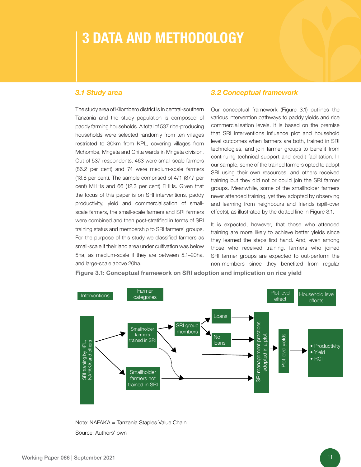### 3 DATA AND METHODOLOGY

#### *3.1 Study area*

The study area of Kilombero district is in central-southern Tanzania and the study population is composed of paddy farming households. A total of 537 rice-producing households were selected randomly from ten villages restricted to 30km from KPL, covering villages from Mchombe, Mngeta and Chita wards in Mngeta division. Out of 537 respondents, 463 were small-scale farmers (86.2 per cent) and 74 were medium-scale farmers (13.8 per cent). The sample comprised of 471 (87.7 per cent) MHHs and 66 (12.3 per cent) FHHs. Given that the focus of this paper is on SRI interventions, paddy productivity, yield and commercialisation of smallscale farmers, the small-scale farmers and SRI farmers were combined and then post-stratified in terms of SRI training status and membership to SRI farmers' groups. For the purpose of this study we classified farmers as small-scale if their land area under cultivation was below 5ha, as medium-scale if they are between 5.1–20ha, and large-scale above 20ha.

#### *3.2 Conceptual framework*

Our conceptual framework (Figure 3.1) outlines the various intervention pathways to paddy yields and rice commercialisation levels. It is based on the premise that SRI interventions influence plot and household level outcomes when farmers are both, trained in SRI technologies, and join farmer groups to benefit from continuing technical support and credit facilitation. In our sample, some of the trained farmers opted to adopt SRI using their own resources, and others received training but they did not or could join the SRI farmer groups. Meanwhile, some of the smallholder farmers never attended training, yet they adopted by observing and learning from neighbours and friends (spill-over effects), as illustrated by the dotted line in Figure 3.1.

It is expected, however, that those who attended training are more likely to achieve better yields since they learned the steps first hand. And, even among those who received training, farmers who joined SRI farmer groups are expected to out-perform the non-members since they benefited from regular



Figure 3.1: Conceptual framework on SRI adoption and implication on rice yield

Note: NAFAKA = Tanzania Staples Value Chain Source: Authors' own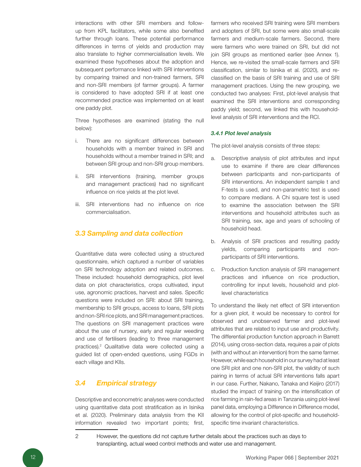interactions with other SRI members and followup from KPL facilitators, while some also benefited further through loans. These potential performance differences in terms of yields and production may also translate to higher commercialisation levels. We examined these hypotheses about the adoption and subsequent performance linked with SRI interventions by comparing trained and non-trained farmers, SRI and non-SRI members (of farmer groups). A farmer is considered to have adopted SRI if at least one recommended practice was implemented on at least one paddy plot.

Three hypotheses are examined (stating the null below):

- i. There are no significant differences between households with a member trained in SRI and households without a member trained in SRI; and between SRI group and non-SRI group members.
- ii. SRI interventions (training, member groups and management practices) had no significant influence on rice yields at the plot level.
- iii. SRI interventions had no influence on rice commercialisation.

#### *3.3 Sampling and data collection*

Quantitative data were collected using a structured questionnaire, which captured a number of variables on SRI technology adoption and related outcomes. These included: household demographics, plot level data on plot characteristics, crops cultivated, input use, agronomic practices, harvest and sales. Specific questions were included on SRI: about SRI training, membership to SRI groups, access to loans, SRI plots and non-SRI rice plots, and SRI management practices. The questions on SRI management practices were about the use of nursery, early and regular weeding and use of fertilisers (leading to three management practices).<sup>2</sup> Qualitative data were collected using a guided list of open-ended questions, using FGDs in each village and KIIs.

#### *3.4 Empirical strategy*

Descriptive and econometric analyses were conducted using quantitative data post stratification as in Isinika et al. (2020). Preliminary data analysis from the KII information revealed two important points; first, farmers who received SRI training were SRI members and adopters of SRI, but some were also small-scale farmers and medium-scale farmers. Second, there were farmers who were trained on SRI, but did not join SRI groups as mentioned earlier (see Annex 1). Hence, we re-visited the small-scale farmers and SRI classification, similar to Isinika et al. (2020), and reclassified on the basis of SRI training and use of SRI management practices. Using the new grouping, we conducted two analyses: First, plot-level analysis that examined the SRI interventions and corresponding paddy yield; second, we linked this with householdlevel analysis of SRI interventions and the RCI.

#### *3.4.1 Plot level analysis*

The plot-level analysis consists of three steps:

- a. Descriptive analysis of plot attributes and input use to examine if there are clear differences between participants and non-participants of SRI interventions. An independent sample t and F-tests is used, and non-parametric test is used to compare medians. A Chi square test is used to examine the association between the SRI interventions and household attributes such as SRI training, sex, age and years of schooling of household head.
- b. Analysis of SRI practices and resulting paddy yields, comparing participants and nonparticipants of SRI interventions.
- c. Production function analysis of SRI management practices and influence on rice production, controlling for input levels, household and plotlevel characteristics

To understand the likely net effect of SRI intervention for a given plot, it would be necessary to control for observed and unobserved farmer and plot-level attributes that are related to input use and productivity. The differential production function approach in Barrett (2014), using cross-section data, requires a pair of plots (with and without an intervention) from the same farmer. However, while each household in our survey had at least one SRI plot and one non-SRI plot, the validity of such pairing in terms of actual SRI interventions falls apart in our case. Further, Nakano, Tanaka and Keijiro (2017) studied the impact of training on the intensification of rice farming in rain-fed areas in Tanzania using plot-level panel data, employing a Difference in Difference model, allowing for the control of plot-specific and householdspecific time invariant characteristics.

<sup>2</sup> However, the questions did not capture further details about the practices such as days to transplanting, actual weed control methods and water use and management.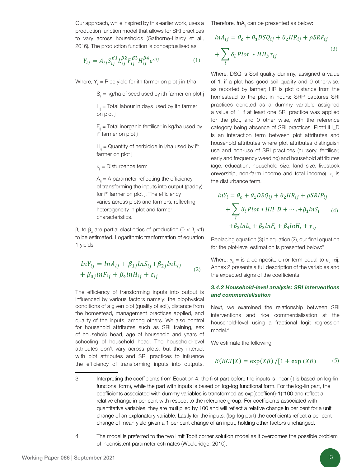Our approach, while inspired by this earlier work, uses a production function model that allows for SRI practices to vary across households (Gathorne-Hardy et al., 2016). The production function is conceptualised as:

$$
Y_{ij} = A_{ij} S_{ij}^{\beta 1} L_{ij}^{\beta 2} F_{ij}^{\beta 3} H_{ij}^{\beta 4} e^{\varepsilon_{ij}}
$$
 (1)

Where,  $Y_{ii}$  = Rice yield for ith farmer on plot j in t/ha

 $S<sub>ii</sub> = kg/ha$  of seed used by ith farmer on plot j

 $L_{ii}$  = Total labour in days used by ith farmer on plot j

 $F_{ii}$  = Total inorganic fertiliser in kg/ha used by i i<sup>th</sup> farmer on plot j

 $H<sub>ii</sub> =$  Quantity of herbicide in I/ha used by i<sup>th</sup> farmer on plot j

 $\varepsilon_{ii}$  = Disturbance term

 $A<sub>ii</sub> = A parameter reflecting the efficiency$ of transforming the inputs into output (paddy) for i<sup>th</sup> farmer on plot j. The efficiency varies across plots and farmers, reflecting heterogeneity in plot and farmer characteristics.

 $β_1$  to  $β_4$  are partial elasticities of production (0 <  $β_1$  <1) to be estimated. Logarithmic tranformation of equation 1 yields:

$$
lnY_{ij} = lnA_{ij} + \beta_{1j}lnS_{ij} + \beta_{2j}lnL_{ij}
$$
  
+  $\beta_{3j}lnF_{ij} + \beta_{4}lnH_{ij} + \varepsilon_{ij}$  (2)

The efficiency of transforming inputs into output is influenced by various factors namely: the biophysical conditions of a given plot (quality of soil), distance from the homestead, management practices applied, and quality of the inputs, among others. We also control for household attributes such as SRI training, sex of household head, age of household and years of schooling of household head. The household-level attributes don't vary across plots, but they interact with plot attributes and SRI practices to influence the efficiency of transforming inputs into outputs.

Therefore, *I*nA<sub>is</sub> can be presented as below:

$$
ln A_{ij} = \theta_o + \theta_1 DS Q_{ij} + \theta_2 HR_{ij} + \rho SR P_{ij}
$$
  
+ 
$$
\sum_{l} \delta_l Plot * HH_D \tau_{ij}
$$
 (3)

Where, DSQ is Soil quality dummy, assigned a value of 1, if a plot has good soil quality and 0 otherwise, as reported by farmer; HR is plot distance from the homestead to the plot in hours; SRP captures SRI practices denoted as a dummy variable assigned a value of 1 if at least one SRI practice was applied for the plot, and 0 other wise, with the reference category being absence of SRI practices. Plot\*HH\_D is an interaction term between plot attributes and household attributes where plot attributes distinguish use and non-use of SRI practices (nursery, fertiliser, early and frequency weeding) and household attributes (age, education, household size, land size, livestock onwership, non-farm income and total income).  $τ_i$  is the disturbance term.

$$
lnY_i = \theta_o + \theta_1 DSQ_{ij} + \theta_2 HR_{ij} + \rho SRIP_{ij}
$$
  
+ 
$$
\sum_l \delta_l Plot * HH\_D + \dots + \beta_1 lnS_i
$$
 (4)  
+ 
$$
\beta_2 lnL_i + \beta_3 lnF_i + \beta_4 lnH_i + \gamma_{ij}
$$

Replacing equation (3) in equation (2), our final equation for the plot-level estimation is presented below:3

Where:  $\gamma_{ii}$  = is a composite error term equal to εij+τij. Annex 2 presents a full description of the variables and the expected signs of the coefficients.

#### *3.4.2 Household-level analysis: SRI interventions and commercialisation*

Next, we examined the relationship between SRI interventions and rice commercialisation at the household-level using a fractional logit regression model.4

We estimate the following:

$$
E(RCI|X) = \exp(X\beta) / [1 + \exp(X\beta)] \tag{5}
$$

<sup>3</sup> Interpreting the coefficients from Equation 4: the first part before the inputs is linear (it is based on log-lin funcional form), while the part with inputs is based on log-log functional form. For the log-lin part, the coefficients associated with dummy variables is transformed as exp(coeffient)-1)\*100 and reflect a relative change in per cent with respect to the reference group. For coefficients associated with quantitative variables, they are multiplied by 100 and will reflect a relative change in per cent for a unit change of an explanatory variable. Lastly for the inputs, (log-log part) the coeficients reflect a per cent change of mean yield given a 1 per cent change of an input, holding other factors unchanged.

<sup>4</sup> The model is preferred to the two limit Tobit corner solution model as it overcomes the possible problem of inconsistent parameter estimates (Wooldridge, 2010).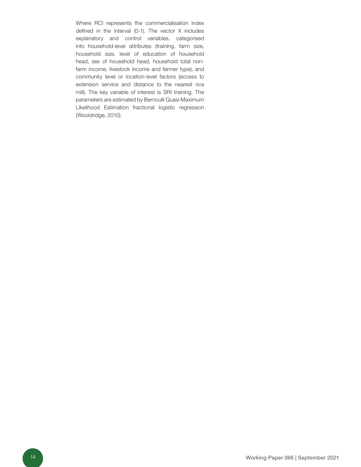Where RCI represents the commercialisation index defined in the interval (0-1). The vector X includes explanatory and control variables, categorised into household-level attributes (training, farm size, household size, level of education of household head, sex of household head, household total nonfarm income, livestock income and farmer type), and community level or location-level factors (access to extension service and distance to the nearest rice mill). The key variable of interest is SRI training. The parameters are estimated by Bernoulli Quasi Maximum Likelihood Estimation fractional logistic regression (Wooldridge, 2010).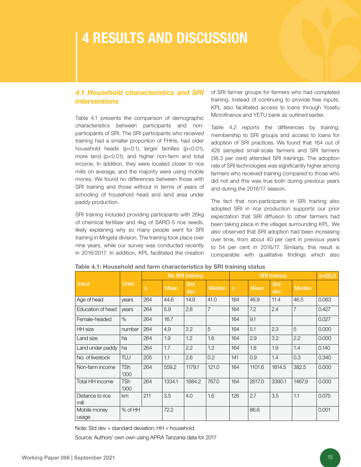### 4 RESULTS AND DISCUSSION

#### *4.1 Household characteristics and SRI interventions*

Table 4.1 presents the comparison of demographic characteristics between participants and nonparticipants of SRI. The SRI participants who received training had a smaller proportion of FHHs, had older household heads (p<0.1), larger families (p<0.01), more land (p<0.01), and higher non-farm and total income. In addition, they were located closer to rice mills on average, and the majority were using mobile money. We found no differences between those with SRI training and those without in terms of years of schooling of household head and land area under paddy production.

SRI training included providing participants with 26kg of chemical fertiliser and 4kg of SARO-5 rice seeds, likely explaining why so many people went for SRI training in Mngeta division. The training took place over nine years, while our survey was conducted recently in 2016/2017. In addition, KPL facilitated the creation of SRI farmer groups for farmers who had completed training. Instead of continuing to provide free inputs, KPL also facilitated access to loans through Yosefu Microfinance and YETU bank as outlined earlier.

Table 4.2 reports the differences by training, membership to SRI groups and access to loans for adoption of SRI practices. We found that 164 out of 428 sampled small-scale farmers and SRI farmers (38.3 per cent) attended SRI trainings. The adoption rate of SRI technologies was significantly higher among farmers who received training compared to those who did not and this was true both during previous years and during the 2016/17 season.

The fact that non-participants in SRI training also adopted SRI in rice production supports our prior expectation that SRI diffusion to other farmers had been taking place in the villages surrounding KPL. We also observed that SRI adoption had been increasing over time, from about 40 per cent in previous years to 54 per cent in 2016/17. Similarly, this result is comparable with qualitative findings which also

|                          |                           | No SRI training |             |                   | <b>SRI</b> training |              |             |                   | $p> t /\chi$ 2 |       |
|--------------------------|---------------------------|-----------------|-------------|-------------------|---------------------|--------------|-------------|-------------------|----------------|-------|
| <b>Input</b>             | <b>Units</b>              | $\mathsf{n}$    | <b>Mean</b> | <b>Std</b><br>dev | Median              | $\mathsf{n}$ | <b>Mean</b> | <b>Std</b><br>dev | <b>Median</b>  |       |
| Age of head              | years                     | 264             | 44.6        | 14.9              | 41.0                | 164          | 46.9        | 11.4              | 46.5           | 0.063 |
| Education of head        | years                     | 264             | 5.9         | 2.8               | $\overline{7}$      | 164          | 7.2         | 2.4               | $\overline{7}$ | 0.427 |
| Female-headed            | $\%$                      | 264             | 16.7        |                   |                     | 164          | 9.1         |                   |                | 0.027 |
| HH size                  | number                    | 264             | 4.9         | 2.2               | 5                   | 164          | 5.1         | 2.3               | 5              | 0.000 |
| Land size                | ha                        | 264             | 1.9         | 1.2               | 1.6                 | 164          | 2.9         | 3.2               | 2.2            | 0.000 |
| Land under paddy         | ha                        | 264             | 1.7         | 2.2               | 1.2                 | 164          | 1.8         | 1.9               | 1.4            | 0.140 |
| No. of livestock         | TLU                       | 205             | 1.1         | 2.6               | 0.2                 | 141          | 0.9         | 1.4               | 0.3            | 0.340 |
| Non-farm income          | <b>TSh</b><br><b>'000</b> | 264             | 559.2       | 1179.1            | 121.0               | 164          | 1101.6      | 1814.5            | 382.5          | 0.000 |
| Total HH income          | TSh<br><b>'000</b>        | 264             | 1334.1      | 1884.2            | 767.0               | 164          | 2617.0      | 3390.1            | 1467.9         | 0.000 |
| Distance to rice<br>mill | km                        | 211             | 3.5         | 4.0               | 1.6                 | 126          | 2.7         | 3.5               | 1.1            | 0.075 |
| Mobile money<br>usage    | % of HH                   |                 | 72.2        |                   |                     |              | 86.6        |                   |                | 0.001 |

#### Table 4.1: Household and farm characteristics by SRI training status

Note: Std dev = standard deviation;  $HH =$  household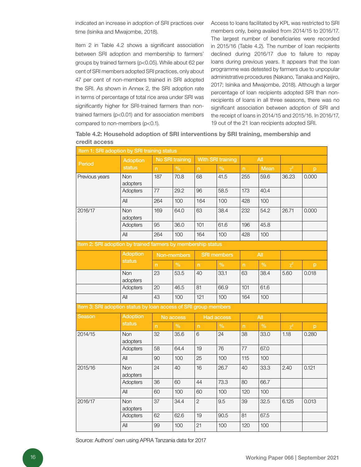indicated an increase in adoption of SRI practices over time (Isinika and Mwajombe, 2018).

Item 2 in Table 4.2 shows a significant association between SRI adoption and membership to farmers' groups by trained farmers (p<0.05). While about 62 per cent of SRI members adopted SRI practices, only about 47 per cent of non-members trained in SRI adopted the SRI. As shown in Annex 2, the SRI adoption rate in terms of percentage of total rice area under SRI was significantly higher for SRI-trained farmers than nontrained farmers (p<0.01) and for association members compared to non-members (p<0.1).

Access to loans facilitated by KPL was restricted to SRI members only, being availed from 2014/15 to 2016/17. The largest number of beneficiaries were recorded in 2015/16 (Table 4.2). The number of loan recipients declined during 2016/17 due to failure to repay loans during previous years. It appears that the loan programme was detested by farmers due to unpopular administrative procedures (Nakano, Tanaka and Keijiro, 2017; Isinika and Mwajombe, 2018). Although a larger percentage of loan recipients adopted SRI than nonrecipients of loans in all three seasons, there was no significant association between adoption of SRI and the receipt of loans in 2014/15 and 2015/16. In 2016/17, 19 out of the 21 loan recipients adopted SRI.

Table 4.2: Household adoption of SRI interventions by SRI training, membership and credit access

| Item 1: SRI adoption by SRI training status                     |                 |                         |                        |                          |                    |                         |               |          |       |
|-----------------------------------------------------------------|-----------------|-------------------------|------------------------|--------------------------|--------------------|-------------------------|---------------|----------|-------|
| Period                                                          | <b>Adoption</b> |                         | <b>No SRI training</b> | <b>With SRI training</b> |                    |                         | All           |          |       |
|                                                                 | status          | $\overline{\mathsf{n}}$ | $\frac{1}{2}$          | $\overline{\mathsf{n}}$  | $\%$               | $\overline{\mathsf{n}}$ | Mean          | $\chi^2$ | p     |
| Previous years                                                  | Non<br>adopters | 187                     | 70.8                   | 68                       | 41.5               | 255                     | 59.6          | 36.23    | 0.000 |
|                                                                 | Adopters        | 77                      | 29.2                   | 96                       | 58.5               | 173                     | 40.4          |          |       |
|                                                                 | All             | 264                     | 100                    | 164                      | 100                | 428                     | 100           |          |       |
| 2016/17                                                         | Non<br>adopters | 169                     | 64.0                   | 63                       | 38.4               | 232                     | 54.2          | 26.71    | 0.000 |
|                                                                 | Adopters        | 95                      | 36.0                   | 101                      | 61.6               | 196                     | 45.8          |          |       |
|                                                                 | All             | 264                     | 100                    | 164                      | 100                | 428                     | 100           |          |       |
| Item 2: SRI adoption by trained farmers by membership status    |                 |                         |                        |                          |                    |                         |               |          |       |
|                                                                 | Adoption        |                         | Non-members            |                          | <b>SRI</b> members |                         | All           |          |       |
|                                                                 | status          | n                       | $\frac{9}{6}$          | n                        | $\frac{9}{6}$      | n                       | $\frac{9}{6}$ | $\chi^2$ | p     |
|                                                                 | Non<br>adopters | 23                      | 53.5                   | 40                       | 33.1               | 63                      | 38.4          | 5.60     | 0.018 |
|                                                                 | Adopters        | 20                      | 46.5                   | 81                       | 66.9               | 101                     | 61.6          |          |       |
|                                                                 | All             | 43                      | 100                    | 121                      | 100                | 164                     | 100           |          |       |
| Item 3: SRI adoption status by loan access of SRI group members |                 |                         |                        |                          |                    |                         |               |          |       |
| Season                                                          | <b>Adoption</b> |                         | No access              |                          | Had access         |                         | All           |          |       |
|                                                                 | <b>status</b>   | $\overline{\mathsf{n}}$ | $\frac{9}{6}$          | $\overline{\mathsf{n}}$  | $\frac{0}{0}$      | $\overline{\mathsf{n}}$ | $\frac{9}{6}$ | $\chi^2$ | p     |
| 2014/15                                                         | Non<br>adopters | 32                      | 35.6                   | 6                        | 24                 | 38                      | 33.0          | 1.18     | 0.280 |
|                                                                 | Adopters        | 58                      | 64.4                   | 19                       | 76                 | 77                      | 67.0          |          |       |
|                                                                 | All             | 90                      | 100                    | 25                       | 100                | 115                     | 100           |          |       |
| 2015/16                                                         | Non<br>adopters | 24                      | 40                     | 16                       | 26.7               | 40                      | 33.3          | 2.40     | 0.121 |
|                                                                 | Adopters        | 36                      | 60                     | 44                       | 73.3               | 80                      | 66.7          |          |       |
|                                                                 | All             | 60                      | 100                    | 60                       | 100                | 120                     | 100           |          |       |
| 2016/17                                                         | Non<br>adopters | 37                      | 34.4                   | $\overline{2}$           | 9.5                | 39                      | 32.5          | 6.125    | 0.013 |
|                                                                 | <b>Adopters</b> | 62                      | 62.6                   | 19                       | 90.5               | 81                      | 67.5          |          |       |
|                                                                 | All             | 99                      | 100                    | 21                       | 100                | 120                     | 100           |          |       |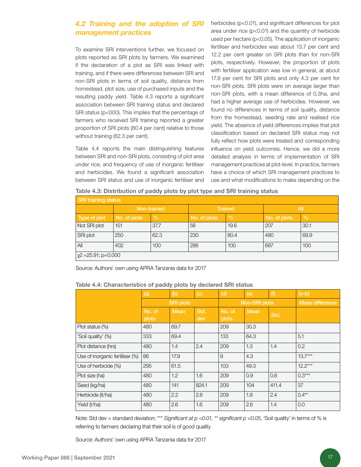#### *4.2 Training and the adoption of SRI management practices*

To examine SRI interventions further, we focused on plots reported as SRI plots by farmers. We examined if the declaration of a plot as SRI was linked with training, and if there were differences between SRI and non-SRI plots in terms of soil quality, distance from homestead, plot size, use of purchased inputs and the resulting paddy yield. Table 4.3 reports a significant association between SRI training status and declared SRI status (p<000). This implies that the percentage of farmers who received SRI training reported a greater proportion of SRI plots (80.4 per cent) relative to those without training (62.3 per cent).

Table 4.4 reports the main distinguishing features between SRI and non-SRI plots, consisting of plot area under rice, and frequency of use of inorganic fertiliser and herbicides. We found a significant association between SRI status and use of inorganic fertiliser and

herbicides (p<0.01), and significant differences for plot area under rice (p<0.01) and the quantity of herbicide used per hectare (p<0.05). The application of inorganic fertiliser and herbicides was about 13.7 per cent and 12.2 per cent greater on SRI plots than for non-SRI plots, respectively. However, the proportion of plots with fertiliser application was low in general, at about 17.9 per cent for SRI plots and only 4.3 per cent for non-SRI plots. SRI plots were on average larger than non-SRI plots, with a mean difference of 0.3ha, and had a higher average use of herbicides. However, we found no differences in terms of soil quality, distance from the homestead, seeding rate and realised rice yield. The absence of yield differences implies that plot classification based on declared SRI status may not fully reflect how plots were treated and corresponding influence on yield outcomes. Hence, we did a more detailed analysis in terms of implementation of SRI management practices at plot-level. In practice, farmers have a choice of which SRI management practices to use and what modifications to make depending on the

Table 4.3: Distribution of paddy plots by plot type and SRI training status

| <b>SRI training status</b> |              |               |              |                |              |      |  |  |  |  |
|----------------------------|--------------|---------------|--------------|----------------|--------------|------|--|--|--|--|
|                            | Non-trained  |               |              | <b>Trained</b> | All          |      |  |  |  |  |
| Type of plot               | No. of plots | $\frac{0}{0}$ | No. of plots | $\%$           | No. of plots | $\%$ |  |  |  |  |
| Not SRI plot               | 151          | 37.7          | 56           | 19.6           | 207          | 30.1 |  |  |  |  |
| SRI plot                   | 250          | 62.3          | 230          | 80.4           | 480          | 69.9 |  |  |  |  |
| All                        | 402          | 100           | 286          | 100            | 687          | 100  |  |  |  |  |
| $\chi$ 2 = 25.91; p= 0.000 |              |               |              |                |              |      |  |  |  |  |

Source: Authors' own using APRA Tanzania data for 2017

#### Table 4.4: Characteristics of paddy plots by declared SRI status

|                                 | (a)             | (b)              | (c)         | (d)             | (e)           | (f)             | $(e-b)$   |
|---------------------------------|-----------------|------------------|-------------|-----------------|---------------|-----------------|-----------|
|                                 |                 | <b>SRI plots</b> |             |                 | Non-SRI plots | Mean difference |           |
|                                 | No. of<br>plots | <b>Mean</b>      | Std.<br>dev | No. of<br>plots | <b>Mean</b>   | Std.            |           |
| Plot status (%)                 | 480             | 69.7             |             | 209             | 30.3          |                 |           |
| 'Soil quality' (%)              | 333             | 69.4             |             | 133             | 64.3          |                 | 5.1       |
| Plot distance (hrs)             | 480             | 1.4              | 2.4         | 209             | 1.3           | 1.4             | 0.2       |
| Use of inorganic fertiliser (%) | 86              | 17.9             |             | 9               | 4.3           |                 | $13.7***$ |
| Use of herbicide (%)            | 295             | 61.5             |             | 103             | 49.3          |                 | $12.2***$ |
| Plot size (ha)                  | 480             | 1.2              | 1.6         | 209             | 0.9           | 0.6             | $0.3***$  |
| Seed (kg/ha)                    | 480             | 141              | 824.1       | 209             | 104           | 411.4           | 37        |
| Herbicide (It/ha)               | 480             | 2.2              | 2.6         | 209             | 1.8           | 2.4             | $0.4***$  |
| Yield (t/ha)                    | 480             | 2.6              | 1.6         | 209             | 2.6           | 1.4             | 0.0       |

Note: Std dev = standard deviation; \*\*\* Significant at  $p$  <0.01, \*\* significant  $p$  <0.05, 'Soil quality' in terms of % is referring to farmers declaring that their soil is of good quality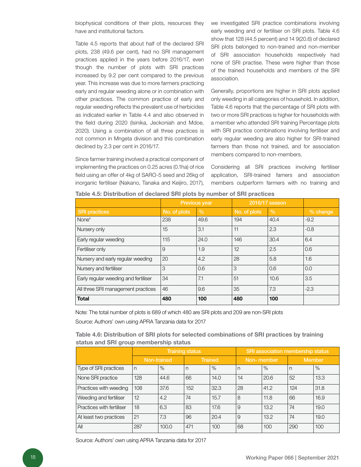biophysical conditions of their plots, resources they have and institutional factors.

Table 4.5 reports that about half of the declared SRI plots, 238 (49.6 per cent), had no SRI management practices applied in the years before 2016/17, even though the number of plots with SRI practices increased by 9.2 per cent compared to the previous year. This increase was due to more farmers practicing early and regular weeding alone or in combination with other practices. The common practice of early and regular weeding reflects the prevalent use of herbicides as indicated earlier in Table 4.4 and also observed in the field during 2020 (Isinika, Jeckoniah and Mdoe, 2020). Using a combination of all three practices is not common in Mngeta division and this combination declined by 2.3 per cent in 2016/17.

Since farmer training involved a practical component of implementing the practices on 0.25 acres (0.1ha) of rice field using an offer of 4kg of SARO-5 seed and 26kg of inorganic fertiliser (Nakano, Tanaka and Keijiro, 2017),

we investigated SRI practice combinations involving early weeding and or fertiliser on SRI plots. Table 4.6 show that 128 (44.5 percent) and 14 9(20.6) of declared SRI plots belonged to non-trained and non-member of SRI association households respectively had none of SRI practise. These were higher than those of the trained households and members of the SRI association.

Generally, proportions are higher in SRI plots applied only weeding in all categories of household. In addition, Table 4.6 reports that the percentage of SRI plots with two or more SRI practices is higher for households with a member who attended SRI training Percentage plots with SRI practice combinations involving fertiliser and early regular weeding are also higher for SRI-trained farmers than those not trained, and for association members compared to non-members.

Considering all SRI practices involving fertiliser application, SRI-trained famers and association members outperform farmers with no training and

|                                      |              | <b>Previous year</b> | 2016/17 season |      |          |
|--------------------------------------|--------------|----------------------|----------------|------|----------|
| <b>SRI</b> practices                 | No. of plots | $\%$                 | No. of plots   | $\%$ | % change |
| None*                                | 238          | 49.6                 | 194            | 40.4 | $-9.2$   |
| Nursery only                         | 15           | 3.1                  | 11             | 2.3  | $-0.8$   |
| Early regular weeding                | 115          | 24.0                 | 146            | 30.4 | 6.4      |
| Fertiliser only                      | 9            | 1.9                  | 12             | 2.5  | 0.6      |
| Nursery and early regular weeding    | 20           | 4.2                  | 28             | 5.8  | 1.6      |
| Nursery and fertiliser               | 3            | 0.6                  | 3              | 0.6  | 0.0      |
| Early regular weeding and fertiliser | 34           | 7.1                  | 51             | 10.6 | 3.5      |
| All three SRI management practices   | 46           | 9.6                  | 35             | 7.3  | $-2.3$   |
| <b>Total</b>                         | 480          | 100                  | 480            | 100  |          |

Table 4.5: Distribution of declared SRI plots by number of SRI practices

Note: The total number of plots is 689 of which 480 are SRI plots and 209 are non-SRI plots

Source: Authors' own using APRA Tanzania data for 2017

#### Table 4.6: Distribution of SRI plots for selected combinations of SRI practices by training status and SRI group membership status

|                           |     |             | <b>Training status</b> |                | <b>SRI association membership status</b> |            |              |        |  |
|---------------------------|-----|-------------|------------------------|----------------|------------------------------------------|------------|--------------|--------|--|
|                           |     | Non-trained |                        | <b>Trained</b> |                                          | Non-member |              | Member |  |
| Type of SRI practices     | l n | %           | n                      | %              | n                                        | $\%$       | $\mathsf{n}$ | $\%$   |  |
| None SRI practice         | 128 | 44.6        | 66                     | 14.0           | 14                                       | 20.6       | 52           | 13.3   |  |
| Practices with weeding    | 108 | 37.6        | 152                    | 32.3           | 28                                       | 41.2       | 124          | 31.8   |  |
| Weeding and fertiliser    | 12  | 4.2         | 74                     | 15.7           | 8                                        | 11.8       | 66           | 16.9   |  |
| Practices with fertiliser | 18  | 6.3         | 83                     | 17.6           | 9                                        | 13.2       | 74           | 19.0   |  |
| At least two practices    | 21  | 7.3         | 96                     | 20.4           | 9                                        | 13.2       | 74           | 19.0   |  |
| All                       | 287 | 100.0       | 471                    | 100            | 68                                       | 100        | 290          | 100    |  |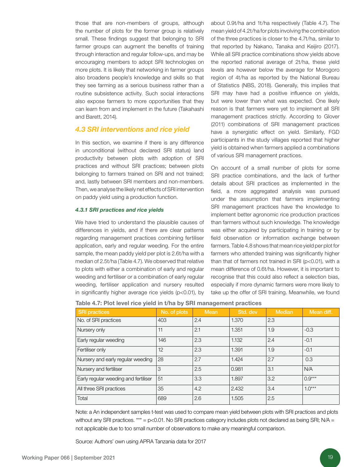those that are non-members of groups, although the number of plots for the former group is relatively small. These findings suggest that belonging to SRI farmer groups can augment the benefits of training through interaction and regular follow-ups, and may be encouraging members to adopt SRI technologies on more plots. It is likely that networking in farmer groups also broadens people's knowledge and skills so that they see farming as a serious business rather than a routine subsistence activity. Such social interactions also expose farmers to more opportunities that they can learn from and implement in the future (Takahashi and Barett, 2014).

#### *4.3 SRI interventions and rice yield*

In this section, we examine if there is any difference in unconditional (without declared SRI status) land productivity between plots with adoption of SRI practices and without SRI practices; between plots belonging to farmers trained on SRI and not trained; and, lastly between SRI members and non-members. Then, we analyse the likely net effects of SRI intervention on paddy yield using a production function.

#### *4.3.1 SRI practices and rice yields*

We have tried to understand the plausible causes of differences in yields, and if there are clear patterns regarding management practices combining fertiliser application, early and regular weeding. For the entire sample, the mean paddy yield per plot is 2.6t/ha with a median of 2.5t/ha (Table 4.7). We observed that relative to plots with either a combination of early and regular weeding and fertiliser or a combination of early regular weeding, fertiliser application and nursery resulted in significantly higher average rice yields (p<0.01), by

about 0.9t/ha and 1t/ha respectively (Table 4.7). The mean yield of 4.2t/ha for plots involving the combination of the three practices is closer to the 4.7t/ha, similar to that reported by Nakano, Tanaka and Keijiro (2017). While all SRI practice combinations show yields above the reported national average of 2t/ha, these yield levels are however below the average for Morogoro region of 4t/ha as reported by the National Bureau of Statistics (NBS, 2018). Generally, this implies that SRI may have had a positive influence on yields, but were lower than what was expected. One likely reason is that farmers were yet to implement all SRI management practices strictly. According to Glover (2011) combinations of SRI management practices have a synergistic effect on yield. Similarly, FGD participants in the study villages reported that higher yield is obtained when farmers applied a combinations of various SRI management practices.

On account of a small number of plots for some SRI practice combinations, and the lack of further details about SRI practices as implemented in the field, a more aggregated analysis was pursued under the assumption that farmers implementing SRI management practices have the knowledge to implement better agronomic rice production practices than farmers without such knowledge. The knowledge was either acquired by participating in training or by field observation or information exchange between farmers. Table 4.8 shows that mean rice yield per plot for farmers who attended training was significantly higher than that of farmers not trained in SRI (p<0.01), with a mean difference of 0.6t/ha. However, it is important to recognise that this could also reflect a selection bias, especially if more dynamic farmers were more likely to take up the offer of SRI training. Meanwhile, we found

| Table 4.7: Plot level rice yield in t/ha by SRI management practices |  |  |
|----------------------------------------------------------------------|--|--|
|                                                                      |  |  |

| <b>SRI practices</b>                 | No. of plots | <b>Mean</b> | Std. dev | <b>Median</b> | Mean diff. |
|--------------------------------------|--------------|-------------|----------|---------------|------------|
| No. of SRI practices                 | 403          | 2.4         | 1.370    | 2.3           |            |
| Nursery only                         | 11           | 2.1         | 1.351    | 1.9           | $-0.3$     |
| Early regular weeding                | 146          | 2.3         | 1.132    | 2.4           | $-0.1$     |
| Fertiliser only                      | 12           | 2.3         | 1.391    | 1.9           | $-0.1$     |
| Nursery and early regular weeding    | 28           | 2.7         | 1.424    | 2.7           | 0.3        |
| Nursery and fertiliser               | 3            | 2.5         | 0.981    | 3.1           | N/A        |
| Early regular weeding and fertiliser | 51           | 3.3         | 1.897    | 3.2           | $0.9***$   |
| All three SRI practices              | 35           | 4.2         | 2.432    | 3.4           | $1.0***$   |
| Total                                | 689          | 2.6         | 1.505    | 2.5           |            |

Note: a An independent samples t-test was used to compare mean yield between plots with SRI practices and plots without any SRI practices.  $*** = p<0.01$ . No SRI practices category includes plots not declared as being SRI; N/A = not applicable due to too small number of observations to make any meaningful comparison.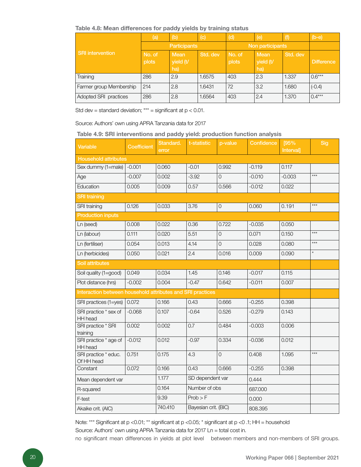#### Table 4.8: Mean differences for paddy yields by training status

|                         | (a)             | (b)                      | (c)      | (d)              | (e)                             | (f)      | $(b-e)$           |
|-------------------------|-----------------|--------------------------|----------|------------------|---------------------------------|----------|-------------------|
|                         |                 | Participants             |          | Non participants |                                 |          |                   |
| <b>SRI</b> intervention | No. of<br>plots | Mean<br>yield (t/<br>ha) | Std. dev | No. of<br>plots  | <b>Mean</b><br>yield (t/<br>ha) | Std. dev | <b>Difference</b> |
| Training                | 286             | 2.9                      | 1.6575   | 403              | 2.3                             | 1.337    | $0.6***$          |
| Farmer group Membership | 214             | 2.8                      | 1.6431   | 72               | 3.2                             | 1.680    | $(-0.4)$          |
| Adopted SRI practices   | 286             | 2.8                      | 1.6564   | 403              | 2.4                             | 1.370    | $0.4***$          |

Std dev = standard deviation;  $***$  = significant at  $p < 0.01$ .

Source: Authors' own using APRA Tanzania data for 2017

Table 4.9: SRI interventions and paddy yield: production function analysis

| <b>Variable</b>                                            | <b>Coefficient</b> | Standard.<br>error | t-statistic          | p-value             | Confidence | [95%<br>Interval] | Sig     |  |
|------------------------------------------------------------|--------------------|--------------------|----------------------|---------------------|------------|-------------------|---------|--|
| <b>Household attributes</b>                                |                    |                    |                      |                     |            |                   |         |  |
| Sex dummy (1=male)                                         | $-0.001$           | 0.060              | $-0.01$              | 0.992               | $-0.119$   | 0.117             |         |  |
| Age                                                        | $-0.007$           | 0.002              | $-3.92$              | $\overline{O}$      | $-0.010$   | $-0.003$          | $***$   |  |
| Education                                                  | 0.005              | 0.009              | 0.57                 | 0.566               | $-0.012$   | 0.022             |         |  |
| <b>SRI training</b>                                        |                    |                    |                      |                     |            |                   |         |  |
| SRI training                                               | 0.126              | 0.033              | 3.76                 | $\mathsf{O}\xspace$ | 0.060      | 0.191             | $***$   |  |
| <b>Production inputs</b>                                   |                    |                    |                      |                     |            |                   |         |  |
| Ln (seed)                                                  | 0.008              | 0.022              | 0.36                 | 0.722               | $-0.035$   | 0.050             |         |  |
| Ln (labour)                                                | 0.111              | 0.020              | 5.51                 | $\overline{0}$      | 0.071      | 0.150             | $***$   |  |
| Ln (fertiliser)                                            | 0.054              | 0.013              | 4.14                 | $\overline{O}$      | 0.028      | 0.080             | $***$   |  |
| Ln (herbicides)                                            | 0.050              | 0.021              | 2.4                  | 0.016               | 0.009      | 0.090             | $\star$ |  |
| <b>Soil attributes</b>                                     |                    |                    |                      |                     |            |                   |         |  |
| Soil quality (1=good)                                      | 0.049              | 0.034              | 1.45                 | 0.146               | $-0.017$   | 0.115             |         |  |
| Plot distance (hrs)                                        | $-0.002$           | 0.004              | $-0.47$              | 0.642               | $-0.011$   | 0.007             |         |  |
| Interaction between household attributes and SRI practices |                    |                    |                      |                     |            |                   |         |  |
| SRI practices (1=yes)                                      | 0.072              | 0.166              | 0.43                 | 0.666               | $-0.255$   | 0.398             |         |  |
| SRI practice * sex of<br><b>HH</b> head                    | $-0.068$           | 0.107              | $-0.64$              | 0.526               | $-0.279$   | 0.143             |         |  |
| SRI practice * SRI<br>training                             | 0.002              | 0.002              | 0.7                  | 0.484               | $-0.003$   | 0.006             |         |  |
| SRI practice * age of<br><b>HH</b> head                    | $-0.012$           | 0.012              | $-0.97$              | 0.334               | $-0.036$   | 0.012             |         |  |
| SRI practice * educ.<br>Of HH head                         | 0.751              | 0.175              | 4.3                  | $\overline{O}$      | 0.408      | 1.095             | $***$   |  |
| Constant                                                   | 0.072              | 0.166              | 0.43                 | 0.666               | $-0.255$   | 0.398             |         |  |
| Mean dependent var                                         |                    | 1.177              | SD dependent var     |                     | 0.444      |                   |         |  |
| R-squared                                                  |                    | 0.164              | Number of obs        |                     | 687.000    |                   |         |  |
| F-test                                                     |                    | 9.39               | Prob > F             |                     | 0.000      |                   |         |  |
| Akaike crit. (AIC)                                         |                    | 740.410            | Bayesian crit. (BIC) |                     | 808.395    |                   |         |  |

Note: \*\*\* Significant at p <0.01; \*\* significant at p <0.05; \* significant at p <0 .1; HH = household

Source: Authors' own using APRA Tanzania data for 2017 Ln = total cost in.

no significant mean differences in yields at plot level between members and non-members of SRI groups.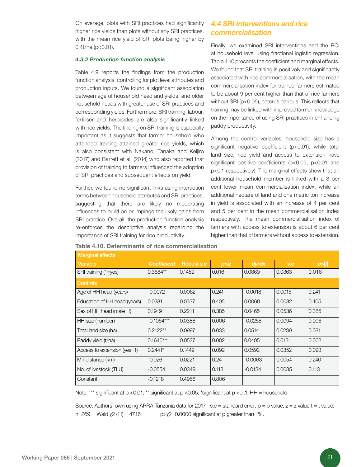On average, plots with SRI practices had significantly higher rice yields than plots without any SRI practices, with the mean rice yield of SRI plots being higher by 0.4t/ha (p<0.01).

#### *4.3.2 Production function analysis*

Table 4.9 reports the findings from the production function analysis, controlling for plot level attributes and production inputs. We found a significant association between age of household head and yields, and older household heads with greater use of SRI practices and corresponding yields. Furthermore, SRI training, labour, fertiliser and herbicides are also significantly linked with rice yields. The finding on SRI training is especially important as it suggests that farmer household who attended training attained greater rice yields, which is also consistent with Nakano, Tanaka and Keijiro (2017) and Barrett et al. (2014) who also reported that provision of training to farmers influenced the adoption of SRI practices and subsequent effects on yield.

Further, we found no significant links using interaction terms between household attributes and SRI practices, suggesting that there are likely no moderating influences to build on or impinge the likely gains from SRI practice. Overall, the production function analysis re-enforces the descriptive analysis regarding the importance of SRI training for rice productivity.

#### *4.4 SRI interventions and rice commercialisation*

Finally, we examined SRI interventions and the RCI at household level using fractional logistic regression. Table 4.10 presents the coefficient and marginal effects. We found that SRI training is positively and significantly associated with rice commercialisation, with the mean commercialisation index for trained farmers estimated to be about 9 per cent higher than that of rice farmers without SRI (p<0.05), ceterus paribus. This reflects that training may be linked with improved farmer knowledge on the importance of using SRI practices in enhancing paddy productivity.

Among the control variables, household size has a significant negative coefficient (p<0.01), while total land size, rice yield and access to extension have significant positive coefficients (p<0.05, p<0.01 and p<0.1 respectively). The marginal effects show that an additional household member is linked with a 3 per cent lower mean commercialisation index; while an additional hectare of land and one metric ton increase in yield is associated with an increase of 4 per cent and 5 per cent in the mean commercialisation index respectively. The mean commercialisation index of farmers with access to extension is about 6 per cent higher than that of farmers without access to extension.

| <b>Marginal effects</b>      |                    |            |       |           |        |       |  |  |
|------------------------------|--------------------|------------|-------|-----------|--------|-------|--|--|
| Variable                     | <b>Coefficient</b> | Robust s.e | p > z | dy/dx     | S.e    | p> t  |  |  |
| SRI training (1=yes)         | $0.3584**$         | 0.1489     | 0.016 | 0.0869    | 0.0363 | 0.016 |  |  |
| <b>Controls</b>              |                    |            |       |           |        |       |  |  |
| Age of HH head (years)       | $-0.0072$          | 0.0062     | 0.241 | $-0.0018$ | 0.0015 | 0.241 |  |  |
| Education of HH head (years) | 0.0281             | 0.0337     | 0.405 | 0.0068    | 0.0082 | 0.405 |  |  |
| Sex of HH head (male=1)      | 0.1919             | 0.2211     | 0.385 | 0.0465    | 0.0536 | 0.385 |  |  |
| HH size (number)             | $-0.1064***$       | 0.0388     | 0.006 | $-0.0258$ | 0.0094 | 0.006 |  |  |
| Total land size (ha)         | $0.2122**$         | 0.0997     | 0.033 | 0.0514    | 0.0239 | 0.031 |  |  |
| Paddy yield (t/ha)           | $0.1640***$        | 0.0537     | 0.002 | 0.0405    | 0.0131 | 0.002 |  |  |
| Access to extension (yes=1)  | $0.2441*$          | 0.1449     | 0.092 | 0.0592    | 0.0352 | 0.093 |  |  |
| Mill distance (km)           | $-0.026$           | 0.0221     | 0.24  | $-0.0063$ | 0.0054 | 0.240 |  |  |
| No. of livestock (TLU)       | $-0.0554$          | 0.0349     | 0.113 | $-0.0134$ | 0.0085 | 0.113 |  |  |
| Constant                     | $-0.1218$          | 0.4956     | 0.806 |           |        |       |  |  |

#### Table 4.10. Determinants of rice commercialisation

Note: \*\*\* significant at p <0.01; \*\* significant at p <0.05; \*significant at p <0 .1; HH = household

Source: Authors' own using APRA Tanzania data for 2017 . s.e = standard error; p = p value; z = z value t = t value; n=269 Wald  $χ2(11) = 47.16$  p> $χ2=0.0000$  significant at p greater than 1%.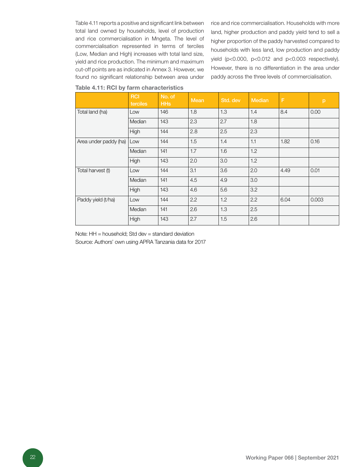Table 4.11 reports a positive and significant link between total land owned by households, level of production and rice commercialisation in Mngeta. The level of commercialisation represented in terms of terciles (Low, Median and High) increases with total land size, yield and rice production. The minimum and maximum cut-off points are as indicated in Annex 3. However, we found no significant relationship between area under

rice and rice commercialisation. Households with more land, higher production and paddy yield tend to sell a higher proportion of the paddy harvested compared to households with less land, low production and paddy yield (p<0.000, p<0.012 and p<0.003 respectively). However, there is no differentiation in the area under paddy across the three levels of commercialisation.

|                       | <b>RCI</b><br>terciles | No. of<br><b>HHs</b> | <b>Mean</b> | Std. dev | <b>Median</b> | F    | p     |
|-----------------------|------------------------|----------------------|-------------|----------|---------------|------|-------|
| Total land (ha)       | Low                    | 146                  | 1.8         | 1.3      | 1.4           | 8.4  | 0.00  |
|                       | Median                 | 143                  | 2.3         | 2.7      | 1.8           |      |       |
|                       | High                   | 144                  | 2.8         | 2.5      | 2.3           |      |       |
| Area under paddy (ha) | Low                    | 144                  | 1.5         | 1.4      | 1.1           | 1.82 | 0.16  |
|                       | Median                 | 141                  | 1.7         | 1.6      | 1.2           |      |       |
|                       | High                   | 143                  | 2.0         | 3.0      | 1.2           |      |       |
| Total harvest (t)     | Low                    | 144                  | 3.1         | 3.6      | 2.0           | 4.49 | 0.01  |
|                       | Median                 | 141                  | 4.5         | 4.9      | 3.0           |      |       |
|                       | High                   | 143                  | 4.6         | 5.6      | 3.2           |      |       |
| Paddy yield (t/ha)    | Low                    | 144                  | 2.2         | 1.2      | 2.2           | 6.04 | 0.003 |
|                       | Median                 | 141                  | 2.6         | 1.3      | 2.5           |      |       |
|                       | High                   | 143                  | 2.7         | 1.5      | 2.6           |      |       |

#### Table 4.11: RCI by farm characteristics

Note: HH = household; Std dev = standard deviation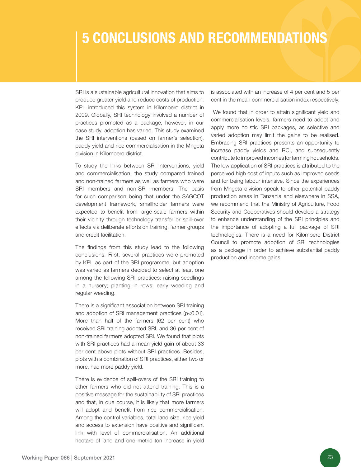### 5 CONCLUSIONS AND RECOMMENDATIONS

SRI is a sustainable agricultural innovation that aims to produce greater yield and reduce costs of production. KPL introduced this system in Kilombero district in 2009. Globally, SRI technology involved a number of practices promoted as a package, however, in our case study, adoption has varied. This study examined the SRI interventions (based on farmer's selection), paddy yield and rice commercialisation in the Mngeta division in Kilombero district.

To study the links between SRI interventions, yield and commercialisation, the study compared trained and non-trained farmers as well as farmers who were SRI members and non-SRI members. The basis for such comparison being that under the SAGCOT development framework, smallholder farmers were expected to benefit from large-scale farmers within their vicinity through technology transfer or spill-over effects via deliberate efforts on training, farmer groups and credit facilitation.

The findings from this study lead to the following conclusions. First, several practices were promoted by KPL as part of the SRI programme, but adoption was varied as farmers decided to select at least one among the following SRI practices: raising seedlings in a nursery; planting in rows; early weeding and regular weeding.

There is a significant association between SRI training and adoption of SRI management practices (p<0.01). More than half of the farmers (62 per cent) who received SRI training adopted SRI, and 36 per cent of non-trained farmers adopted SRI. We found that plots with SRI practices had a mean yield gain of about 33 per cent above plots without SRI practices. Besides, plots with a combination of SRI practices, either two or more, had more paddy yield.

There is evidence of spill-overs of the SRI training to other farmers who did not attend training. This is a positive message for the sustainability of SRI practices and that, in due course, it is likely that more farmers will adopt and benefit from rice commercialisation. Among the control variables, total land size, rice yield and access to extension have positive and significant link with level of commercialisation. An additional hectare of land and one metric ton increase in yield is associated with an increase of 4 per cent and 5 per cent in the mean commercialisation index respectively.

 We found that in order to attain significant yield and commercialisation levels, farmers need to adopt and apply more holistic SRI packages, as selective and varied adoption may limit the gains to be realised. Embracing SRI practices presents an opportunity to increase paddy yields and RCI, and subsequently contribute to improved incomes for farming households. The low application of SRI practices is attributed to the perceived high cost of inputs such as improved seeds and for being labour intensive. Since the experiences from Mngeta division speak to other potential paddy production areas in Tanzania and elsewhere in SSA, we recommend that the Ministry of Agriculture, Food Security and Cooperatives should develop a strategy to enhance understanding of the SRI principles and the importance of adopting a full package of SRI technologies. There is a need for Kilombero District Council to promote adoption of SRI technologies as a package in order to achieve substantial paddy production and income gains.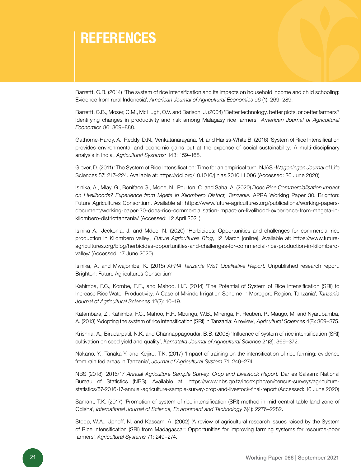### **REFERENCES**

Barrettt, C.B. (2014) 'The system of rice intensification and its impacts on household income and child schooling: Evidence from rural Indonesia', *American Journal of Agricultural Economics* 96 (1): 269–289.

Barrettt, C.B., Moser, C.M., McHugh, O.V. and Barison, J. (2004) 'Better technology, better plots, or better farmers? Identifying changes in productivity and risk among Malagasy rice farmers', *American Journal of Agricultural Economics* 86: 869–888.

Gathorne-Hardy, A., Reddy, D.N., Venkatanarayana, M. and Hariss-White B. (2016) 'System of Rice Intensification provides environmental and economic gains but at the expense of social sustainability: A multi-disciplinary analysis in India', *Agricultural Systems:* 143: 159–168.

Glover, D. (2011) 'The System of Rice Intensification: Time for an empirical turn. NJAS -*Wageningen Journal* of Life Sciences 57: 217–224. Available [at: https://doi.org/10.1016/j.njas.2010.11.006 \(A](https://doi.org/10.1016/j.njas.2010.11.006)ccessed: 26 June 2020).

Isinika, A., Mlay, G., Boniface G., Mdoe, N., Poulton, C. and Saha, A. (2020) *Does Rice Commercialisation Impact on Livelihoods? Experience from Mgeta in Kilombero District, Tanzania.* APRA Working Paper 30. Brighton: Future Agricultures Consortium. Available [at: https://www.future-agricultures.org/publications/working-papers](https://www.future-agricultures.org/publications/working-papers-document/working-paper-30-does-rice-commercialisation-impact-on-livelihood-experience-from-mngeta-in-kilombero-districttanzania/)[document/working-paper-30-does-rice-commercialisation-impact-on-livelihood-experience-from-mngeta-in](https://www.future-agricultures.org/publications/working-papers-document/working-paper-30-does-rice-commercialisation-impact-on-livelihood-experience-from-mngeta-in-kilombero-districttanzania/)kilombero-districttanzania/ (Accessed: 12 April 2021).

Isinika A., Jeckonia, J. and Mdoe, N. (2020) 'Herbicides: Opportunities and challenges for commercial rice production in Kilombero valley', *Future Agricultures Blog*, 12 March [online]. Available at: https://www.futureagricultures.org/blog/herbicides-opportunities-and-challenges-for-commercial-rice-production-in-kilomberovalley/ (Accessed: 17 June 2020)

Isinika, A. and Mwajombe, K. (2018) *APRA Tanzania WS1 Qualitative Report.* Unpublished research report. Brighton: Future Agricultures Consortium.

Kahimba, F.C., Kombe, E.E., and Mahoo, H.F. (2014) 'The Potential of System of Rice Intensification (SRI) to Increase Rice Water Productivity: A Case of Mkindo Irrigation Scheme in Morogoro Region, Tanzania', *Tanzania Journal of Agricultural Sciences* 12(2): 10–19.

Katambara, Z., Kahimba, F.C., Mahoo, H.F., Mbungu, W.B., Mhenga, F., Reuben, P., Maugo, M. and Nyarubamba, A. (2013) 'Adopting the system of rice intensification (SRI) in Tanzania: A review', *Agricultural Sciences* 4(8): 369–375.

Krishna, A., Biradarpatil, N.K. and Channappagoudar, B.B. (2008) 'Influence of system of rice intensification (SRI) cultivation on seed yield and quality', *Karnataka Journal of Agricultural Science* 21(3): 369–372.

Nakano, Y., Tanaka Y. and Keijiro, T.K. (2017) 'Impact of training on the intensification of rice farming: evidence from rain fed areas in Tanzania', *Journal of Agricultural System* 71: 249–274.

NBS (2018). 2016/17 *Annual Agriculture Sample Survey. Crop and Livestock Report.* Dar es Salaam: National Bureau of Statistics (NBS). Available at: [https://www.nbs.go.tz/index.php/en/census-surveys/agriculture](https://www.nbs.go.tz/index.php/en/census-surveys/agriculture-statistics/57-2016-17-annual-agriculture-sample-survey-crop-and-livestock-final-report)[statistics/57-2016-17-annual-agriculture-sample-survey-crop-and-livestock-final-report \(](https://www.nbs.go.tz/index.php/en/census-surveys/agriculture-statistics/57-2016-17-annual-agriculture-sample-survey-crop-and-livestock-final-report)Accessed: 10 June 2020)

Samant, T.K. (2017) 'Promotion of system of rice intensification (SRI) method in mid-central table land zone of Odisha', *International Journal of Science, Environment and Technology* 6(4): 2276–2282.

Stoop, W.A., Uphoff, N. and Kassam, A. (2002) 'A review of agricultural research issues raised by the System of Rice Intensification (SRI) from Madagascar: Opportunities for improving farming systems for resource-poor farmers', *Agricultural Systems* 71: 249–274.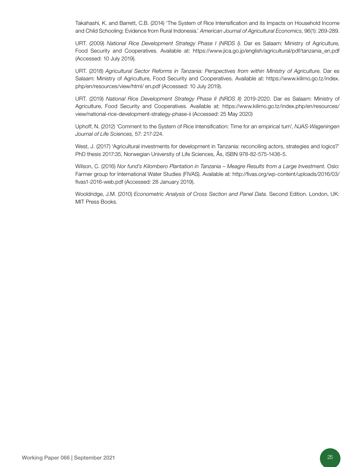Takahashi, K. and Barrett, C.B. (201[4\) 'The System of Rice Intensification and its Impacts on Household Income](https://onlinelibrary.wiley.com/journal/14678276)  [and Child Schooling: Evidence from Rural Indonesia.'](https://onlinelibrary.wiley.com/journal/14678276) *American Journal of Agricultural Economics*, 96(1): 269-289.

URT. (2009) *National Rice Development Strategy Phase I (NRDS I).* Dar es Salaam: Ministry of Agriculture, Food Security and Cooperatives. Available at: https://www.jica.go.jp/english/agricultural/pdf/tanzania\_en.pdf (Accessed: 10 July 2019).

URT. (2018) *Agricultural Sector Reforms in Tanzania: Perspectives from within Ministry of Agriculture.* Dar es Salaam: Ministry of Agriculture, Food Security and Cooperatives. Available at[: https://www.kilimo.go.tz/index.](https://www.kilimo.go.tz/index.php/en/resources/view/html/ en.pdf) [php/en/resources/view/html/ en.pdf \(A](https://www.kilimo.go.tz/index.php/en/resources/view/html/ en.pdf)ccessed: 10 July 2019).

URT. (2019) *National Rice Development Strategy Phase II (NRDS II)* 2019-2020. Dar es Salaam: Ministry of Agriculture, Food Security and Cooperatives. Available at[: https://www.kilimo.go.tz/index.php/en/resources/](https://www.kilimo.go.tz/index.php/en/resources/view/national-rice-development-strategy-phase-ii) [view/national-rice-development-strategy-phase-ii \(A](https://www.kilimo.go.tz/index.php/en/resources/view/national-rice-development-strategy-phase-ii)ccessed: 25 May 2020)

Uphoff, N. (2012) 'Comment to the System of Rice Intensification: Time for an empirical turn', *NJAS-Wageningen Journal of Life Sciences,* 57: 217-224.

West, J. (2017) 'Agricultural investments for development in Tanzania: reconciling actors, strategies and logics?' PhD thesis 2017:35, Norwegian University of Life Sciences, Ås, ISBN 978-82-575-1436-5.

Wilson, C. (2016) *Nor fund's Kilombero Plantation in Tanzania – Meagre Results from a Large Investment.* Oslo: Farmer group for International Water Studies (FIVAS). Available a[t: http://fivas.org/wp-content/uploads/2016/03/](http://fivas.org/wp-content/uploads/2016/03/fivas1-2016-web.pdf) [fivas1-2016-web.pdf \(A](http://fivas.org/wp-content/uploads/2016/03/fivas1-2016-web.pdf)ccessed: 28 January 2019).

Wooldridge, J.M. (2010) *Econometric Analysis of Cross Section and Panel Data.* Second Edition. London, UK: MIT Press Books.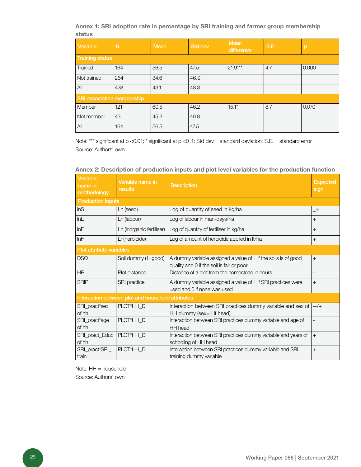Annex 1: SRI adoption rate in percentage by SRI training and farmer group membership status

| Variable                          | N   | <b>Mean</b> | <b>Std dev</b> | <b>Mean</b><br>difference | S.E | p     |  |  |  |
|-----------------------------------|-----|-------------|----------------|---------------------------|-----|-------|--|--|--|
| <b>Training status</b>            |     |             |                |                           |     |       |  |  |  |
| Trained                           | 164 | 56.5        | 47.5           | $21.9***$                 | 4.7 | 0.000 |  |  |  |
| Not trained                       | 264 | 34.6        | 46.9           |                           |     |       |  |  |  |
| All                               | 428 | 43.1        | 48.3           |                           |     |       |  |  |  |
| <b>SRI</b> association membership |     |             |                |                           |     |       |  |  |  |
| Member                            | 121 | 60.5        | 46.2           | $15.1*$                   | 8.7 | 0.070 |  |  |  |
| Not member                        | 43  | 45.3        | 49.8           |                           |     |       |  |  |  |
| All                               | 164 | 56.5        | 47.5           |                           |     |       |  |  |  |

Note: \*\*\* significant at p <0.01; \* significant at p <0 .1; Std dev = standard deviation; S.E. = standard error Source: Authors' own

| Variable<br>name in<br>methodology | Variable name in<br>results                       | <b>Expected</b><br><b>Description</b><br>sign                                                               |                          |
|------------------------------------|---------------------------------------------------|-------------------------------------------------------------------------------------------------------------|--------------------------|
| <b>Production inputs</b>           |                                                   |                                                                                                             |                          |
| InS                                | Ln (seed)                                         | Log of quantity of seed in kg/ha                                                                            | $-+$                     |
| InL                                | Ln (labour)                                       | Log of labour in man-days/ha                                                                                | $+$                      |
| InF                                | Ln (inorganic fertiliser)                         | Log of quantity of fertiliser in kg/ha                                                                      | $+$                      |
| InH                                | Ln(herbicide)                                     | Log of amount of herbicide applied in It/ha                                                                 | $\! +$                   |
| Plot attribute variables           |                                                   |                                                                                                             |                          |
| <b>DSQ</b>                         | Soil dummy (1=good)                               | A dummy variable assigned a value of 1 if the soils is of good<br>quality and 0 if the soil is fair or poor | $+$                      |
| <b>HR</b>                          | Plot distance                                     | Distance of a plot from the homestead in hours                                                              | $\overline{\phantom{a}}$ |
| <b>SRIP</b>                        | SRI practice                                      | A dummy variable assigned a value of 1 if SRI practices were<br>used and 0 if none was used                 | $+$                      |
|                                    | Interaction between plot and household attributes |                                                                                                             |                          |
| SRI_pract*sex<br>of hh             | PLOT*HH_D                                         | Interaction between SRI practices dummy variable and sex of<br>HH dummy (sex=1 if head)                     | $-2+$                    |
| SRI_pract*age<br>of hh             | PLOT*HH_D                                         | Interaction between SRI practices dummy variable and age of<br><b>HH</b> head                               | $\overline{\phantom{a}}$ |
| SRI_pract_Educ<br>of hh            | PLOT*HH_D                                         | Interaction between SRI practices dummy variable and years of<br>schooling of HH head                       | $+$                      |
| SRI_pract*SRI_<br>train            | PLOT*HH_D                                         | Interaction between SRI practices dummy variable and SRI<br>training dummy variable                         | $+$                      |

Annex 2: Description of production inputs and plot level variables for the production function

Note: HH = household Source: Authors' own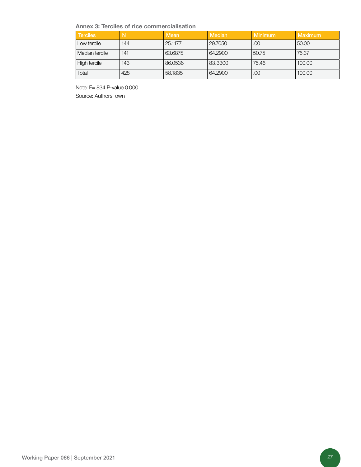Annex 3: Terciles of rice commercialisation

| <b>Terciles</b> | N   | Mean    | Median  | Minimum | Maximum |
|-----------------|-----|---------|---------|---------|---------|
| Low tercile     | 144 | 25.1177 | 29,7050 | .00     | 50.00   |
| Median tercile  | 141 | 63.6875 | 64,2900 | 50.75   | 75.37   |
| High tercile    | 143 | 86.0536 | 83,3300 | 75.46   | 100.00  |
| Total           | 428 | 58.1835 | 64,2900 | .00     | 100.00  |

Note: F= 834 P-value 0.000 Source: Authors' own